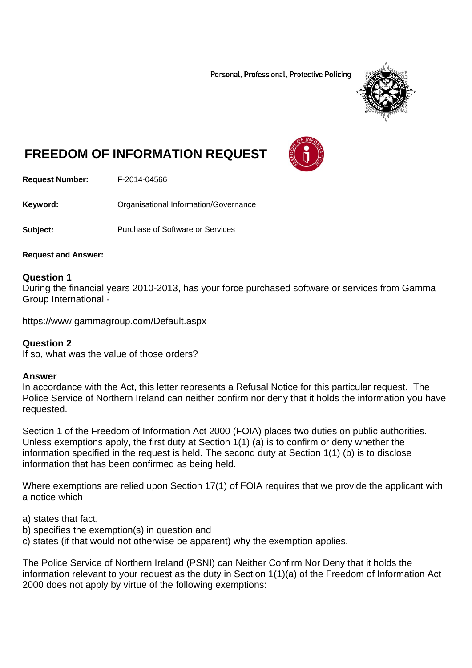Personal, Professional, Protective Policing



# **FREEDOM OF INFORMATION REQUEST**

**Request Number:** F-2014-04566

**Keyword: Communistry Communistional Information/Governance** 

**Subject:** Purchase of Software or Services

**Request and Answer:** 

## **Question 1**

During the financial years 2010-2013, has your force purchased software or services from Gamma Group International -

https://www.gammagroup.com/Default.aspx

# **Question 2**

If so, what was the value of those orders?

#### **Answer**

In accordance with the Act, this letter represents a Refusal Notice for this particular request. The Police Service of Northern Ireland can neither confirm nor deny that it holds the information you have requested.

Section 1 of the Freedom of Information Act 2000 (FOIA) places two duties on public authorities. Unless exemptions apply, the first duty at Section 1(1) (a) is to confirm or deny whether the information specified in the request is held. The second duty at Section 1(1) (b) is to disclose information that has been confirmed as being held.

Where exemptions are relied upon Section 17(1) of FOIA requires that we provide the applicant with a notice which

a) states that fact,

- b) specifies the exemption(s) in question and
- c) states (if that would not otherwise be apparent) why the exemption applies.

The Police Service of Northern Ireland (PSNI) can Neither Confirm Nor Deny that it holds the information relevant to your request as the duty in Section 1(1)(a) of the Freedom of Information Act 2000 does not apply by virtue of the following exemptions: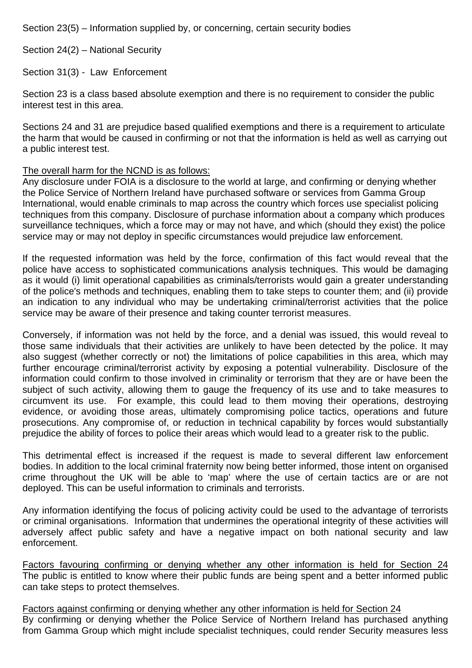Section 23(5) – Information supplied by, or concerning, certain security bodies

Section 24(2) – National Security

Section 31(3) - Law Enforcement

Section 23 is a class based absolute exemption and there is no requirement to consider the public interest test in this area.

Sections 24 and 31 are prejudice based qualified exemptions and there is a requirement to articulate the harm that would be caused in confirming or not that the information is held as well as carrying out a public interest test.

## The overall harm for the NCND is as follows:

Any disclosure under FOIA is a disclosure to the world at large, and confirming or denying whether the Police Service of Northern Ireland have purchased software or services from Gamma Group International, would enable criminals to map across the country which forces use specialist policing techniques from this company. Disclosure of purchase information about a company which produces surveillance techniques, which a force may or may not have, and which (should they exist) the police service may or may not deploy in specific circumstances would prejudice law enforcement.

If the requested information was held by the force, confirmation of this fact would reveal that the police have access to sophisticated communications analysis techniques. This would be damaging as it would (i) limit operational capabilities as criminals/terrorists would gain a greater understanding of the police's methods and techniques, enabling them to take steps to counter them; and (ii) provide an indication to any individual who may be undertaking criminal/terrorist activities that the police service may be aware of their presence and taking counter terrorist measures.

Conversely, if information was not held by the force, and a denial was issued, this would reveal to those same individuals that their activities are unlikely to have been detected by the police. It may also suggest (whether correctly or not) the limitations of police capabilities in this area, which may further encourage criminal/terrorist activity by exposing a potential vulnerability. Disclosure of the information could confirm to those involved in criminality or terrorism that they are or have been the subject of such activity, allowing them to gauge the frequency of its use and to take measures to circumvent its use. For example, this could lead to them moving their operations, destroying evidence, or avoiding those areas, ultimately compromising police tactics, operations and future prosecutions. Any compromise of, or reduction in technical capability by forces would substantially prejudice the ability of forces to police their areas which would lead to a greater risk to the public.

This detrimental effect is increased if the request is made to several different law enforcement bodies. In addition to the local criminal fraternity now being better informed, those intent on organised crime throughout the UK will be able to 'map' where the use of certain tactics are or are not deployed. This can be useful information to criminals and terrorists.

Any information identifying the focus of policing activity could be used to the advantage of terrorists or criminal organisations. Information that undermines the operational integrity of these activities will adversely affect public safety and have a negative impact on both national security and law enforcement.

Factors favouring confirming or denying whether any other information is held for Section 24 The public is entitled to know where their public funds are being spent and a better informed public can take steps to protect themselves.

Factors against confirming or denying whether any other information is held for Section 24 By confirming or denying whether the Police Service of Northern Ireland has purchased anything from Gamma Group which might include specialist techniques, could render Security measures less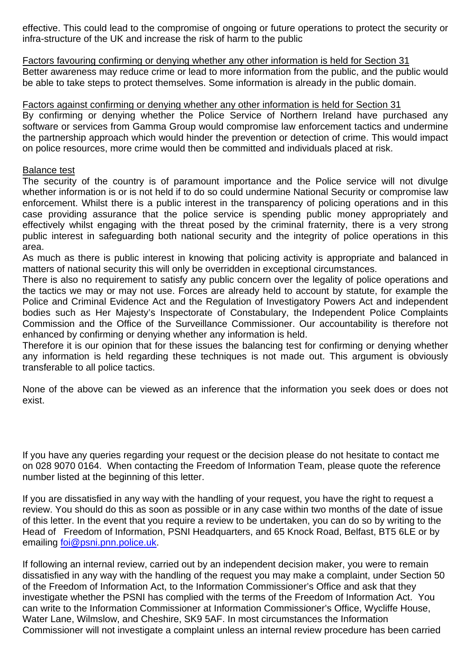effective. This could lead to the compromise of ongoing or future operations to protect the security or infra-structure of the UK and increase the risk of harm to the public

Factors favouring confirming or denying whether any other information is held for Section 31 Better awareness may reduce crime or lead to more information from the public, and the public would be able to take steps to protect themselves. Some information is already in the public domain.

# Factors against confirming or denying whether any other information is held for Section 31

By confirming or denying whether the Police Service of Northern Ireland have purchased any software or services from Gamma Group would compromise law enforcement tactics and undermine the partnership approach which would hinder the prevention or detection of crime. This would impact on police resources, more crime would then be committed and individuals placed at risk.

## Balance test

The security of the country is of paramount importance and the Police service will not divulge whether information is or is not held if to do so could undermine National Security or compromise law enforcement. Whilst there is a public interest in the transparency of policing operations and in this case providing assurance that the police service is spending public money appropriately and effectively whilst engaging with the threat posed by the criminal fraternity, there is a very strong public interest in safeguarding both national security and the integrity of police operations in this area.

As much as there is public interest in knowing that policing activity is appropriate and balanced in matters of national security this will only be overridden in exceptional circumstances.

There is also no requirement to satisfy any public concern over the legality of police operations and the tactics we may or may not use. Forces are already held to account by statute, for example the Police and Criminal Evidence Act and the Regulation of Investigatory Powers Act and independent bodies such as Her Majesty's Inspectorate of Constabulary, the Independent Police Complaints Commission and the Office of the Surveillance Commissioner. Our accountability is therefore not enhanced by confirming or denying whether any information is held.

Therefore it is our opinion that for these issues the balancing test for confirming or denying whether any information is held regarding these techniques is not made out. This argument is obviously transferable to all police tactics.

None of the above can be viewed as an inference that the information you seek does or does not exist.

If you have any queries regarding your request or the decision please do not hesitate to contact me on 028 9070 0164. When contacting the Freedom of Information Team, please quote the reference number listed at the beginning of this letter.

If you are dissatisfied in any way with the handling of your request, you have the right to request a review. You should do this as soon as possible or in any case within two months of the date of issue of this letter. In the event that you require a review to be undertaken, you can do so by writing to the Head of Freedom of Information, PSNI Headquarters, and 65 Knock Road, Belfast, BT5 6LE or by emailing foi@psni.pnn.police.uk.

If following an internal review, carried out by an independent decision maker, you were to remain dissatisfied in any way with the handling of the request you may make a complaint, under Section 50 of the Freedom of Information Act, to the Information Commissioner's Office and ask that they investigate whether the PSNI has complied with the terms of the Freedom of Information Act. You can write to the Information Commissioner at Information Commissioner's Office, Wycliffe House, Water Lane, Wilmslow, and Cheshire, SK9 5AF. In most circumstances the Information Commissioner will not investigate a complaint unless an internal review procedure has been carried